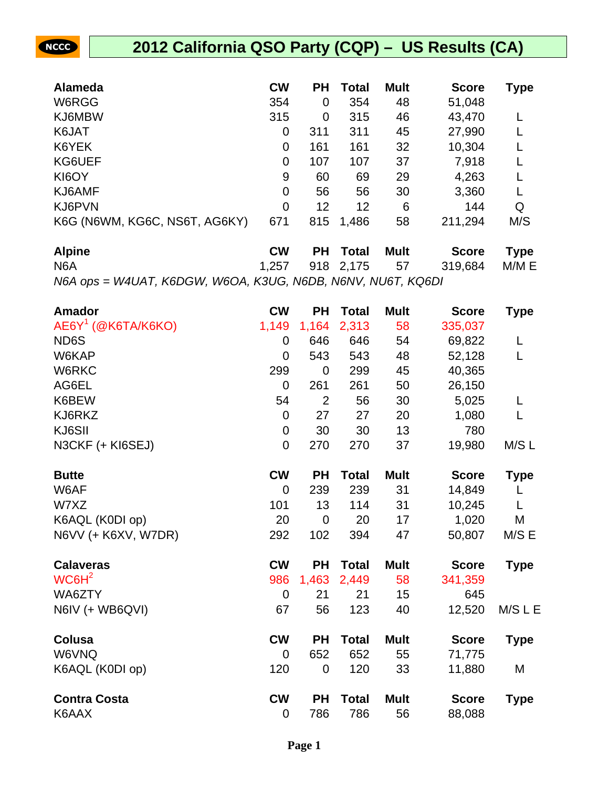| <b>Alameda</b>                | <b>CW</b> | <b>PH</b> | <b>Total</b> | <b>Mult</b> | <b>Score</b> | <b>Type</b> |
|-------------------------------|-----------|-----------|--------------|-------------|--------------|-------------|
| W6RGG                         | 354       | 0         | 354          | 48          | 51,048       |             |
| KJ6MBW                        | 315       | 0         | 315          | 46          | 43,470       |             |
| K6JAT                         | 0         | 311       | 311          | 45          | 27,990       |             |
| K6YEK                         | 0         | 161       | 161          | 32          | 10,304       |             |
| KG6UEF                        | 0         | 107       | 107          | 37          | 7,918        |             |
| KI6OY                         | 9         | 60        | 69           | 29          | 4,263        |             |
| KJ6AMF                        | 0         | 56        | 56           | 30          | 3,360        |             |
| KJ6PVN                        | 0         | 12        | 12           | 6           | 144          | Q           |
| K6G (N6WM, KG6C, NS6T, AG6KY) | 671       | 815       | 1,486        | 58          | 211,294      | M/S         |

NCCC

| <b>Alpine</b>                                               | <b>CW</b> | <b>PH</b> Total | – Mult | Score Type                       |  |
|-------------------------------------------------------------|-----------|-----------------|--------|----------------------------------|--|
| N <sub>6</sub> A                                            |           |                 |        | 1,257 918 2,175 57 319,684 M/M E |  |
| N6A ops = W4UAT, K6DGW, W6OA, K3UG, N6DB, N6NV, NU6T, KQ6DI |           |                 |        |                                  |  |

| <b>Amador</b>        | <b>CW</b>      | <b>PH</b>      | <b>Total</b> | <b>Mult</b> | <b>Score</b> | <b>Type</b> |
|----------------------|----------------|----------------|--------------|-------------|--------------|-------------|
| $AEGY1$ (@K6TA/K6KO) | 1,149          | 1,164          | 2,313        | 58          | 335,037      |             |
| ND <sub>6</sub> S    | $\overline{0}$ | 646            | 646          | 54          | 69,822       | L           |
| W6KAP                | $\overline{0}$ | 543            | 543          | 48          | 52,128       | L           |
| W6RKC                | 299            | $\mathbf 0$    | 299          | 45          | 40,365       |             |
| AG6EL                | $\overline{0}$ | 261            | 261          | 50          | 26,150       |             |
| K6BEW                | 54             | $\overline{2}$ | 56           | 30          | 5,025        | L           |
| KJ6RKZ               | $\overline{0}$ | 27             | 27           | 20          | 1,080        | L           |
| KJ6SII               | $\mathbf 0$    | 30             | 30           | 13          | 780          |             |
| N3CKF (+ KI6SEJ)     | $\overline{0}$ | 270            | 270          | 37          | 19,980       | M/S L       |
| <b>Butte</b>         | <b>CW</b>      | <b>PH</b>      | <b>Total</b> | <b>Mult</b> | <b>Score</b> | <b>Type</b> |
| W6AF                 | $\Omega$       | 239            | 239          | 31          | 14,849       | L           |
| W7XZ                 | 101            | 13             | 114          | 31          | 10,245       | L           |
| K6AQL (K0DI op)      | 20             | $\mathbf 0$    | 20           | 17          | 1,020        | M           |
| N6VV (+ K6XV, W7DR)  | 292            | 102            | 394          | 47          | 50,807       | M/S E       |
| <b>Calaveras</b>     | <b>CW</b>      | <b>PH</b>      | <b>Total</b> | <b>Mult</b> | <b>Score</b> | <b>Type</b> |
| WC6H <sup>2</sup>    | 986            | 1,463          | 2,449        | 58          | 341,359      |             |
| WA6ZTY               | $\mathbf 0$    | 21             | 21           | 15          | 645          |             |
| N6IV (+ WB6QVI)      | 67             | 56             | 123          | 40          | 12,520       | M/S L E     |
| <b>Colusa</b>        | <b>CW</b>      | <b>PH</b>      | <b>Total</b> | <b>Mult</b> | <b>Score</b> | <b>Type</b> |
| W6VNQ                | $\overline{0}$ | 652            | 652          | 55          | 71,775       |             |
| K6AQL (K0DI op)      | 120            | $\mathbf 0$    | 120          | 33          | 11,880       | M           |
| <b>Contra Costa</b>  | <b>CW</b>      | <b>PH</b>      | <b>Total</b> | <b>Mult</b> | <b>Score</b> | <b>Type</b> |
| K6AAX                | 0              | 786            | 786          | 56          | 88,088       |             |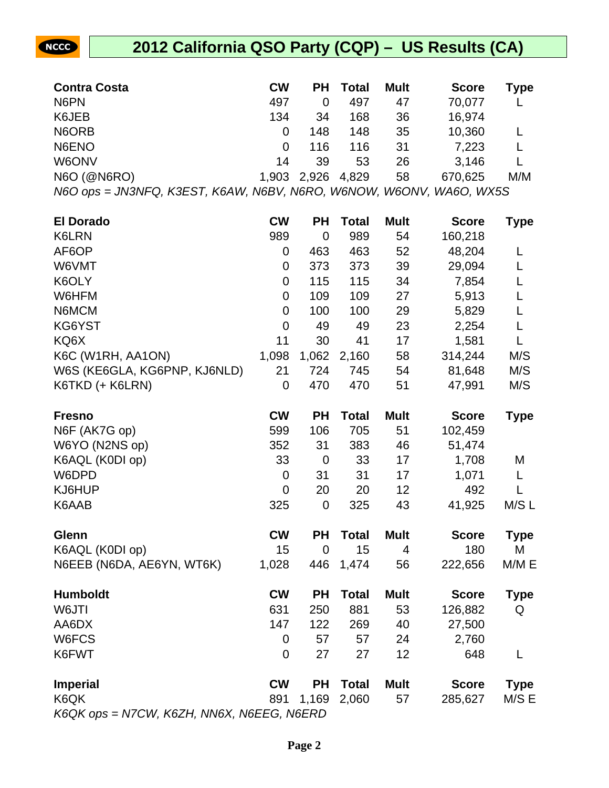

| <b>Contra Costa</b>                                                 | <b>CW</b> | ΡH          | <b>Total</b> | <b>Mult</b> | <b>Score</b> | Type        |
|---------------------------------------------------------------------|-----------|-------------|--------------|-------------|--------------|-------------|
| N6PN                                                                | 497       | $\mathbf 0$ | 497          | 47          | 70,077       |             |
| K6JEB                                                               | 134       | 34          | 168          | 36          | 16,974       |             |
| N6ORB                                                               | 0         | 148         | 148          | 35          | 10,360       | L           |
| N6ENO                                                               | 0         | 116         | 116          | 31          | 7,223        | L           |
| W6ONV                                                               | 14        | 39          | 53           | 26          | 3,146        | L           |
| N6O (@N6RO)                                                         | 1,903     | 2,926       | 4,829        | 58          | 670,625      | M/M         |
| N6O ops = JN3NFQ, K3EST, K6AW, N6BV, N6RO, W6NOW, W6ONV, WA6O, WX5S |           |             |              |             |              |             |
| <b>El Dorado</b>                                                    | <b>CW</b> | <b>PH</b>   | <b>Total</b> | <b>Mult</b> | <b>Score</b> | <b>Type</b> |
| K6LRN                                                               | 989       | $\mathbf 0$ | 989          | 54          | 160,218      |             |
| AF6OP                                                               | 0         | 463         | 463          | 52          | 48,204       | L           |
| W6VMT                                                               | 0         | 373         | 373          | 39          | 29,094       | L           |
| K6OLY                                                               | 0         | 115         | 115          | 34          | 7,854        | L           |
| W6HFM                                                               | 0         | 109         | 109          | 27          | 5,913        | L           |
| N6MCM                                                               | 0         | 100         | 100          | 29          | 5,829        | L           |
| KG6YST                                                              | 0         | 49          | 49           | 23          | 2,254        | L           |
| KQ6X                                                                | 11        | 30          | 41           | 17          | 1,581        | L           |
| K6C (W1RH, AA1ON)                                                   | 1,098     | 1,062       | 2,160        | 58          | 314,244      | M/S         |
| W6S (KE6GLA, KG6PNP, KJ6NLD)                                        | 21        | 724         | 745          | 54          | 81,648       | M/S         |
| K6TKD (+ K6LRN)                                                     | 0         | 470         | 470          | 51          | 47,991       | M/S         |
| <b>Fresno</b>                                                       | <b>CW</b> | <b>PH</b>   | <b>Total</b> | <b>Mult</b> | <b>Score</b> | <b>Type</b> |
| N6F (AK7G op)                                                       | 599       | 106         | 705          | 51          | 102,459      |             |
| W6YO (N2NS op)                                                      | 352       | 31          | 383          | 46          | 51,474       |             |
| K6AQL (K0DI op)                                                     | 33        | $\mathbf 0$ | 33           | 17          | 1,708        | M           |
| W6DPD                                                               | 0         | 31          | 31           | 17          | 1,071        | L           |
| KJ6HUP                                                              | 0         | 20          | 20           | 12          | 492          | L           |
| K6AAB                                                               | 325       | $\mathbf 0$ | 325          | 43          | 41,925       | M/S L       |
| Glenn                                                               | <b>CW</b> | РH          | <b>Total</b> | <b>Mult</b> | <b>Score</b> | Type        |
| K6AQL (K0DI op)                                                     | 15        | $\mathbf 0$ | 15           | 4           | 180          | M           |
| N6EEB (N6DA, AE6YN, WT6K)                                           | 1,028     | 446         | 1,474        | 56          | 222,656      | M/M E       |
| <b>Humboldt</b>                                                     | <b>CW</b> | <b>PH</b>   | <b>Total</b> | <b>Mult</b> | <b>Score</b> | <b>Type</b> |
| W6JTI                                                               | 631       | 250         | 881          | 53          | 126,882      | Q           |
| AA6DX                                                               | 147       | 122         | 269          | 40          | 27,500       |             |
| W6FCS                                                               | 0         | 57          | 57           | 24          | 2,760        |             |
| K6FWT                                                               | 0         | 27          | 27           | 12          | 648          | L           |
| <b>Imperial</b>                                                     | <b>CW</b> | <b>PH</b>   | <b>Total</b> | <b>Mult</b> | <b>Score</b> | <b>Type</b> |
| K6QK                                                                | 891       | 1,169       | 2,060        | 57          | 285,627      | M/S E       |
| K6QK ops = N7CW, K6ZH, NN6X, N6EEG, N6ERD                           |           |             |              |             |              |             |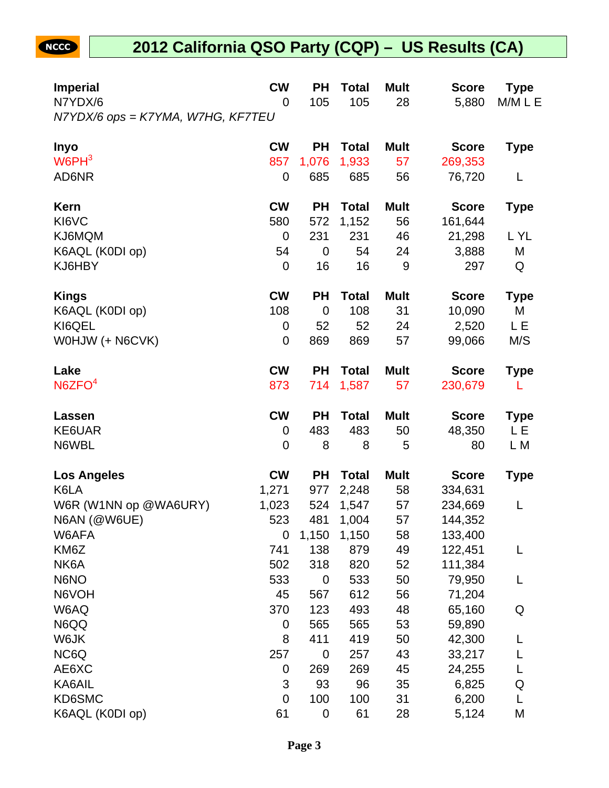| <b>Imperial</b>                              | <b>CW</b>   | <b>PH</b>   | <b>Total</b> | <b>Mult</b> | <b>Score</b> | Type        |
|----------------------------------------------|-------------|-------------|--------------|-------------|--------------|-------------|
| N7YDX/6<br>N7YDX/6 ops = K7YMA, W7HG, KF7TEU | 0           | 105         | 105          | 28          | 5,880        | M/M L E     |
| <b>Inyo</b>                                  | <b>CW</b>   | <b>PH</b>   | <b>Total</b> | <b>Mult</b> | <b>Score</b> | <b>Type</b> |
| W6PH <sup>3</sup>                            | 857         | 1,076       | 1,933        | 57          | 269,353      |             |
| AD6NR                                        | 0           | 685         | 685          | 56          | 76,720       | L           |
| <b>Kern</b>                                  | <b>CW</b>   | <b>PH</b>   | <b>Total</b> | <b>Mult</b> | <b>Score</b> | Type        |
| KI6VC                                        | 580         | 572         | 1,152        | 56          | 161,644      |             |
| KJ6MQM                                       | $\mathbf 0$ | 231         | 231          | 46          | 21,298       | L YL        |
| K6AQL (K0DI op)                              | 54          | 0           | 54           | 24          | 3,888        | M           |
| KJ6HBY                                       | $\mathbf 0$ | 16          | 16           | 9           | 297          | Q           |
| <b>Kings</b>                                 | <b>CW</b>   | <b>PH</b>   | <b>Total</b> | <b>Mult</b> | <b>Score</b> | Type        |
| K6AQL (K0DI op)                              | 108         | $\mathbf 0$ | 108          | 31          | 10,090       | М           |
| KI6QEL                                       | 0           | 52          | 52           | 24          | 2,520        | LΕ          |
| WOHJW (+ N6CVK)                              | 0           | 869         | 869          | 57          | 99,066       | M/S         |
| Lake                                         | <b>CW</b>   | <b>PH</b>   | <b>Total</b> | <b>Mult</b> | <b>Score</b> | Type        |
| N6ZFO <sup>4</sup>                           | 873         | 714         | 1,587        | 57          | 230,679      | L           |
| Lassen                                       | <b>CW</b>   | <b>PH</b>   | <b>Total</b> | <b>Mult</b> | <b>Score</b> | Type        |
| KE6UAR                                       | 0           | 483         | 483          | 50          | 48,350       | LΕ          |
| N6WBL                                        | 0           | 8           | 8            | 5           | 80           | L M         |
| <b>Los Angeles</b>                           | <b>CW</b>   | <b>PH</b>   | <b>Total</b> | <b>Mult</b> | <b>Score</b> | Type        |
| K6LA                                         | 1,271       | 977         | 2,248        | 58          | 334,631      |             |
| W6R (W1NN op @WA6URY)                        | 1,023       | 524         | 1,547        | 57          | 234,669      | L           |
| N6AN (@W6UE)                                 | 523         | 481         | 1,004        | 57          | 144,352      |             |
| W6AFA                                        | 0           | 1,150       | 1,150        | 58          | 133,400      |             |
| KM6Z                                         | 741         | 138         | 879          | 49          | 122,451      | L           |
| NK6A                                         | 502         | 318         | 820          | 52          | 111,384      |             |
| N6NO                                         | 533         | $\mathbf 0$ | 533          | 50          | 79,950       | L           |
| N6VOH                                        | 45          | 567         | 612          | 56          | 71,204       |             |
| W6AQ                                         | 370         | 123         | 493          | 48          | 65,160       | Q           |
| N6QQ                                         | 0           | 565         | 565          | 53          | 59,890       |             |
| W6JK                                         | 8           | 411         | 419          | 50          | 42,300       |             |
| NC6Q                                         | 257         | $\mathbf 0$ | 257          | 43          | 33,217       |             |
| AE6XC                                        | 0           | 269         | 269          | 45          | 24,255       | L           |
| KA6AIL                                       | 3           | 93          | 96           | 35          | 6,825        | Q           |
| KD6SMC                                       | 0           | 100         | 100          | 31          | 6,200        | L           |
| K6AQL (K0DI op)                              | 61          | $\pmb{0}$   | 61           | 28          | 5,124        | М           |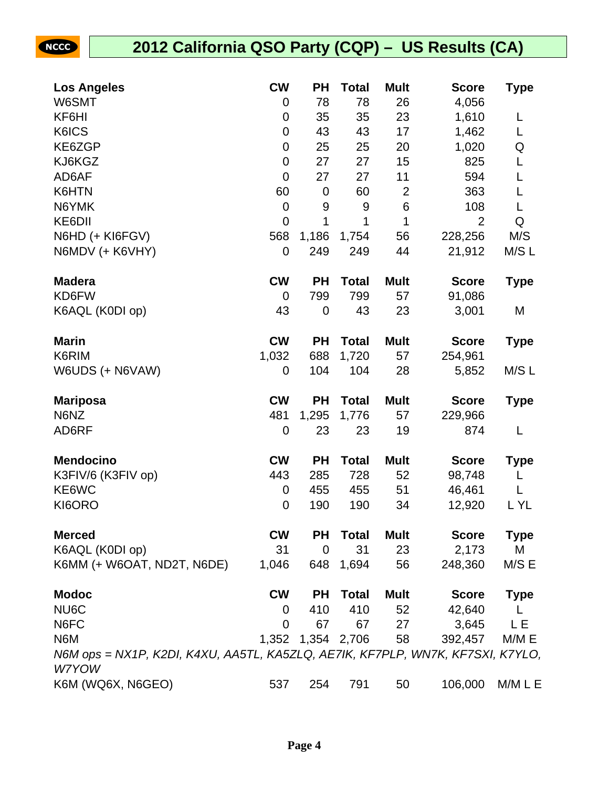| <b>Los Angeles</b>                                                                      | <b>CW</b>        | PH                | <b>Total</b> | <b>Mult</b>    | <b>Score</b>   | Type        |
|-----------------------------------------------------------------------------------------|------------------|-------------------|--------------|----------------|----------------|-------------|
| W6SMT                                                                                   | 0                | 78                | 78           | 26             | 4,056          |             |
| KF6HI                                                                                   | 0                | 35                | 35           | 23             | 1,610          | L           |
| K6ICS                                                                                   | $\mathbf 0$      | 43                | 43           | 17             | 1,462          | L           |
| KE6ZGP                                                                                  | $\mathbf 0$      | 25                | 25           | 20             | 1,020          | Q           |
| KJ6KGZ                                                                                  | $\mathbf 0$      | 27                | 27           | 15             | 825            | L           |
| AD6AF                                                                                   | $\mathbf 0$      | 27                | 27           | 11             | 594            | L           |
| K6HTN                                                                                   | 60               | $\mathbf 0$       | 60           | $\overline{2}$ | 363            | L           |
| N6YMK                                                                                   | $\overline{0}$   | 9                 | 9            | $\,6$          | 108            | L           |
| KE6DII                                                                                  | 0                | 1                 | 1            | 1              | $\overline{2}$ | Q           |
| N6HD (+ KI6FGV)                                                                         | 568              | 1,186             | 1,754        | 56             | 228,256        | M/S         |
| N6MDV (+ K6VHY)                                                                         | 0                | 249               | 249          | 44             | 21,912         | M/S L       |
| <b>Madera</b>                                                                           | <b>CW</b>        | <b>PH</b>         | <b>Total</b> | <b>Mult</b>    | <b>Score</b>   | <b>Type</b> |
| KD6FW                                                                                   | $\overline{0}$   | 799               | 799          | 57             | 91,086         |             |
| K6AQL (K0DI op)                                                                         | 43               | $\mathbf 0$       | 43           | 23             | 3,001          | M           |
| <b>Marin</b>                                                                            | <b>CW</b>        | <b>PH</b>         | <b>Total</b> | <b>Mult</b>    | <b>Score</b>   | <b>Type</b> |
| K6RIM                                                                                   | 1,032            | 688               | 1,720        | 57             | 254,961        |             |
| W6UDS (+ N6VAW)                                                                         | 0                | 104               | 104          | 28             | 5,852          | M/S L       |
| <b>Mariposa</b>                                                                         | <b>CW</b>        | <b>PH</b>         | <b>Total</b> | <b>Mult</b>    | <b>Score</b>   | <b>Type</b> |
| N6NZ                                                                                    | 481              | 1,295             | 1,776        | 57             | 229,966        |             |
| AD6RF                                                                                   | 0                | 23                | 23           | 19             | 874            | L           |
| <b>Mendocino</b>                                                                        | <b>CW</b>        | <b>PH</b>         | <b>Total</b> | <b>Mult</b>    | <b>Score</b>   | Type        |
| K3FIV/6 (K3FIV op)                                                                      | 443              | 285               | 728          | 52             | 98,748         | L           |
| KE6WC                                                                                   | $\mathbf 0$      | 455               | 455          | 51             | 46,461         | L           |
| KI6ORO                                                                                  | $\boldsymbol{0}$ | 190               | 190          | 34             | 12,920         | L YL        |
| <b>Merced</b>                                                                           | <b>CW</b>        | PH                | <b>Total</b> | Mult           | <b>Score</b>   | <b>Type</b> |
| K6AQL (K0DI op)                                                                         | 31               | $\mathbf 0$       | 31           | 23             | 2,173          | M           |
| K6MM (+ W6OAT, ND2T, N6DE)                                                              | 1,046            | 648               | 1,694        | 56             | 248,360        | M/S E       |
| <b>Modoc</b>                                                                            | <b>CW</b>        | <b>PH</b>         | <b>Total</b> | <b>Mult</b>    | <b>Score</b>   | <b>Type</b> |
| NU6C                                                                                    | 0                | 410               | 410          | 52             | 42,640         | L           |
| N6FC                                                                                    | $\mathbf 0$      | 67                | 67           | 27             | 3,645          | LΕ          |
| N6M                                                                                     |                  | 1,352 1,354 2,706 |              | 58             | 392,457        | M/M E       |
| N6M ops = NX1P, K2DI, K4XU, AA5TL, KA5ZLQ, AE7IK, KF7PLP, WN7K, KF7SXI, K7YLO,<br>W7YOW |                  |                   |              |                |                |             |
| K6M (WQ6X, N6GEO)                                                                       | 537              | 254               | 791          | 50             | 106,000        | M/M L E     |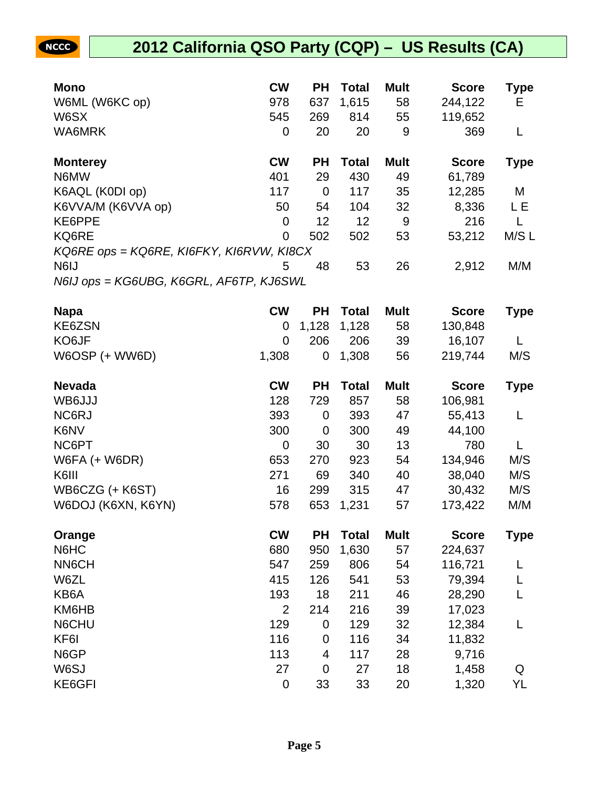| <b>Mono</b>                              | <b>CW</b>      | <b>PH</b>      | <b>Total</b> | <b>Mult</b> | <b>Score</b> | Type        |
|------------------------------------------|----------------|----------------|--------------|-------------|--------------|-------------|
| W6ML (W6KC op)                           | 978            | 637            | 1,615        | 58          | 244,122      | Е           |
| W6SX                                     | 545            | 269            | 814          | 55          | 119,652      |             |
| WA6MRK                                   | $\mathbf 0$    | 20             | 20           | 9           | 369          | L           |
| <b>Monterey</b>                          | <b>CW</b>      | <b>PH</b>      | <b>Total</b> | <b>Mult</b> | <b>Score</b> | <b>Type</b> |
| N6MW                                     | 401            | 29             | 430          | 49          | 61,789       |             |
| K6AQL (K0DI op)                          | 117            | $\overline{0}$ | 117          | 35          | 12,285       | M           |
| K6VVA/M (K6VVA op)                       | 50             | 54             | 104          | 32          | 8,336        | L E         |
| KE6PPE                                   | $\mathbf 0$    | 12             | 12           | 9           | 216          | L           |
| KQ6RE                                    | $\overline{0}$ | 502            | 502          | 53          | 53,212       | M/S L       |
| KQ6RE ops = KQ6RE, KI6FKY, KI6RVW, KI8CX |                |                |              |             |              |             |
| N6IJ                                     | 5              | 48             | 53           | 26          | 2,912        | M/M         |
| N6IJ ops = KG6UBG, K6GRL, AF6TP, KJ6SWL  |                |                |              |             |              |             |
|                                          |                |                |              |             |              |             |
| <b>Napa</b>                              | <b>CW</b>      | <b>PH</b>      | <b>Total</b> | <b>Mult</b> | <b>Score</b> | <b>Type</b> |
| KE6ZSN                                   | $\mathbf 0$    | 1,128          | 1,128        | 58          | 130,848      |             |
| KO6JF                                    | $\Omega$       | 206            | 206          | 39          | 16,107       | L           |
| <b>W6OSP (+ WW6D)</b>                    | 1,308          | 0              | 1,308        | 56          | 219,744      | M/S         |
| <b>Nevada</b>                            | <b>CW</b>      | <b>PH</b>      | <b>Total</b> | <b>Mult</b> | <b>Score</b> | <b>Type</b> |
| WB6JJJ                                   | 128            | 729            | 857          | 58          | 106,981      |             |
| NC6RJ                                    | 393            | 0              | 393          | 47          | 55,413       | L           |
| K6NV                                     | 300            | $\overline{0}$ | 300          | 49          | 44,100       |             |
| NC6PT                                    | $\mathbf 0$    | 30             | 30           | 13          | 780          | L           |
| <b>W6FA (+ W6DR)</b>                     | 653            | 270            | 923          | 54          | 134,946      | M/S         |
| K6III                                    | 271            | 69             | 340          | 40          | 38,040       | M/S         |
| WB6CZG (+ K6ST)                          | 16             | 299            | 315          | 47          | 30,432       | M/S         |

| Orange          | <b>CW</b>   | <b>PH</b> | <b>Total</b> | <b>Mult</b> | <b>Score</b> | Type |
|-----------------|-------------|-----------|--------------|-------------|--------------|------|
| N6HC            | 680         | 950       | 1,630        | 57          | 224,637      |      |
| <b>NN6CH</b>    | 547         | 259       | 806          | 54          | 116,721      |      |
| W6ZL            | 415         | 126       | 541          | 53          | 79,394       |      |
| KB6A            | 193         | 18        | 211          | 46          | 28,290       |      |
| KM6HB           | 2           | 214       | 216          | 39          | 17,023       |      |
| N6CHU           | 129         | 0         | 129          | 32          | 12,384       |      |
| KF <sub>6</sub> | 116         | 0         | 116          | 34          | 11,832       |      |
| N6GP            | 113         | 4         | 117          | 28          | 9,716        |      |
| W6SJ            | 27          | 0         | 27           | 18          | 1,458        | Q    |
| KE6GFI          | $\mathbf 0$ | 33        | 33           | 20          | 1,320        | YL   |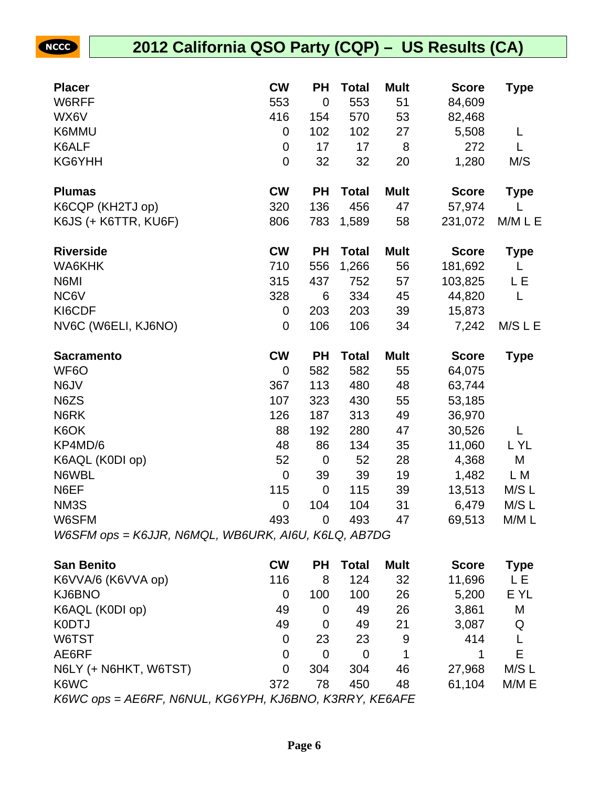### **2012 California QSO Party (CQP) – US Results (CA)**

| <b>Placer</b>                                       | <b>CW</b>      | <b>PH</b>      | <b>Total</b> | <b>Mult</b> | <b>Score</b> | <b>Type</b> |
|-----------------------------------------------------|----------------|----------------|--------------|-------------|--------------|-------------|
| W6RFF                                               | 553            | $\mathbf 0$    | 553          | 51          | 84,609       |             |
| WX6V                                                | 416            | 154            | 570          | 53          | 82,468       |             |
| K6MMU                                               | 0              | 102            | 102          | 27          | 5,508        | L           |
| K6ALF                                               | $\mathbf 0$    | 17             | 17           | 8           | 272          | L           |
| KG6YHH                                              | $\mathbf 0$    | 32             | 32           | 20          | 1,280        | M/S         |
| <b>Plumas</b>                                       | <b>CW</b>      | <b>PH</b>      | <b>Total</b> | <b>Mult</b> | <b>Score</b> | <b>Type</b> |
| K6CQP (KH2TJ op)                                    | 320            | 136            | 456          | 47          | 57,974       | L           |
| K6JS (+ K6TTR, KU6F)                                | 806            | 783            | 1,589        | 58          | 231,072      | M/M L E     |
| <b>Riverside</b>                                    | <b>CW</b>      | <b>PH</b>      | <b>Total</b> | <b>Mult</b> | <b>Score</b> | <b>Type</b> |
| WA6KHK                                              | 710            | 556            | 1,266        | 56          | 181,692      | L           |
| N6MI                                                | 315            | 437            | 752          | 57          | 103,825      | L E         |
| NC6V                                                | 328            | 6              | 334          | 45          | 44,820       | L           |
| KI6CDF                                              | 0              | 203            | 203          | 39          | 15,873       |             |
| NV6C (W6ELI, KJ6NO)                                 | $\mathbf 0$    | 106            | 106          | 34          | 7,242        | M/S L E     |
|                                                     |                |                | <b>Total</b> | <b>Mult</b> | <b>Score</b> | <b>Type</b> |
| <b>Sacramento</b>                                   | <b>CW</b>      | <b>PH</b>      |              |             |              |             |
| WF <sub>6</sub> O                                   | 0              | 582            | 582          | 55          | 64,075       |             |
| N6JV                                                | 367            | 113            | 480          | 48          | 63,744       |             |
| N6ZS                                                | 107            | 323            | 430          | 55          | 53,185       |             |
| N6RK                                                | 126            | 187            | 313          | 49          | 36,970       |             |
| K6OK                                                | 88             | 192            | 280          | 47          | 30,526       | L           |
| KP4MD/6                                             | 48             | 86             | 134          | 35          | 11,060       | L YL        |
| K6AQL (K0DI op)                                     | 52             | $\mathbf 0$    | 52           | 28          | 4,368        | М           |
| N6WBL                                               | $\overline{0}$ | 39             | 39           | 19          | 1,482        | L M         |
| N6EF                                                | 115            | $\mathbf 0$    | 115          | 39          | 13,513       | M/S L       |
| NM3S                                                | $\mathbf 0$    | 104            | 104          | 31          | 6,479        | M/S L       |
| W6SFM                                               | 493            | $\overline{0}$ | 493          | 47          | 69,513       | M/ML        |
| W6SFM ops = K6JJR, N6MQL, WB6URK, AI6U, K6LQ, AB7DG |                |                |              |             |              |             |
| <b>San Benito</b>                                   | <b>CW</b>      | <b>PH</b>      | <b>Total</b> | <b>Mult</b> | <b>Score</b> | <b>Type</b> |
| K6VVA/6 (K6VVA op)                                  | 116            | 8              | 124          | 32          | 11,696       | LЕ          |
| KJ6BNO                                              | 0              | 100            | 100          | 26          | 5,200        | E YL        |

| K6AQL (K0DI op)                                                                | 49  |     | 49  | 26 | 3,861  | M     |
|--------------------------------------------------------------------------------|-----|-----|-----|----|--------|-------|
| K0DTJ                                                                          | 49  |     | 49  | 21 | 3,087  | Q     |
| W6TST                                                                          |     | 23  | 23  | 9  | 414    |       |
| AE6RF                                                                          |     |     |     |    |        |       |
| N6LY (+ N6HKT, W6TST)                                                          |     | 304 | 304 | 46 | 27,968 | M/S L |
| K6WC                                                                           | 372 | 78  | 450 | 48 | 61.104 | M/M E |
| $\mathbf{1}$<br>$\Lambda$ pade $\Lambda$ ialiuu ikoolimuu ikunnio ikoddikuuree |     |     |     |    |        |       |

K6WC ops = AE6RF, N6NUL, KG6YPH, KJ6BNO, K3RRY, KE6AFE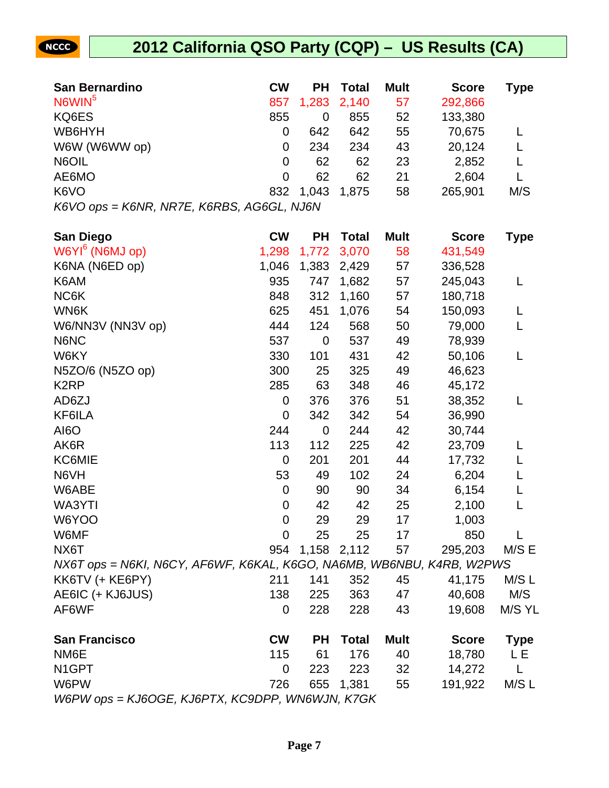

| <b>San Bernardino</b>                     | <b>CW</b> | <b>PH</b> | <b>Total</b> | <b>Mult</b> | <b>Score</b> | Type |
|-------------------------------------------|-----------|-----------|--------------|-------------|--------------|------|
| N6WIN <sup>5</sup>                        | 857       | 1,283     | 2,140        | 57          | 292,866      |      |
| KQ6ES                                     | 855       | 0         | 855          | 52          | 133,380      |      |
| WB6HYH                                    | 0         | 642       | 642          | 55          | 70,675       |      |
| W6W (W6WW op)                             | 0         | 234       | 234          | 43          | 20,124       |      |
| N6OIL                                     | 0         | 62        | 62           | 23          | 2,852        |      |
| AE6MO                                     | 0         | 62        | 62           | 21          | 2,604        |      |
| K6VO                                      | 832       | 1,043     | 1.875        | 58          | 265,901      | M/S  |
| K6VO ops = K6NR, NR7E, K6RBS, AG6GL, NJ6N |           |           |              |             |              |      |

**San Diego CW PH Total Mult Score Type** W6YI<sup>6</sup> (N6MJ op) 1,298 1,772 3,070 58 431,549 K6NA (N6ED op) 1,046 1,383 2,429 57 336,528 K6AM 935 747 1,682 57 245,043 L NC6K 848 312 1,160 57 180,718 WN6K 625 451 1,076 54 150,093 L W6/NN3V (NN3V op) 444 124 568 50 79,000 L N6NC 537 0 537 49 78,939 W6KY 330 101 431 42 50,106 L N5ZO/6 (N5ZO op) 300 25 325 49 46,623 K2RP 285 63 348 46 45,172 AD6ZJ 0 376 376 51 38,352 L KF6ILA 0 342 342 54 36,990 AI6O 244 0 244 42 30,744 AK6R 113 112 225 42 23,709 L KC6MIE 0 201 201 44 17,732 L N6VH 53 49 102 24 6,204 L W6ABE 0 90 90 34 6,154 L WA3YTI 0 42 42 25 2,100 L W6YOO 0 29 29 17 1,003 W6MF 0 25 25 17 850 L NX6T 954 1,158 2,112 57 295,203 M/S E NX6T ops = N6KI, N6CY, AF6WF, K6KAL, K6GO, NA6MB, WB6NBU, K4RB, W2PWS KK6TV (+ KE6PY) 211 141 352 45 41,175 M/S L AE6IC (+ KJ6JUS) 138 225 363 47 40,608 M/S AF6WF 0 228 228 43 19,608 M/S YL **San Francisco CW PH Total Mult Score Type** NM6E 115 61 176 40 18,780 L E N1GPT 0 223 223 32 14,272 L W6PW 726 655 1,381 55 191,922 M/SL

W6PW ops = KJ6OGE, KJ6PTX, KC9DPP, WN6WJN, K7GK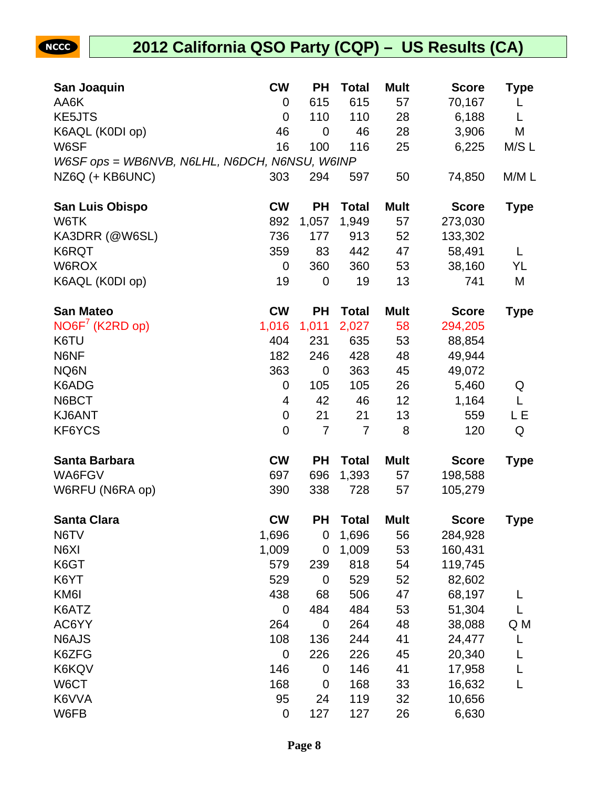| San Joaquin                                   | <b>CW</b>   | <b>PH</b>        | Total          | <b>Mult</b> | <b>Score</b> | Type        |
|-----------------------------------------------|-------------|------------------|----------------|-------------|--------------|-------------|
| AA6K                                          | 0           | 615              | 615            | 57          | 70,167       | L           |
| <b>KE5JTS</b>                                 | 0           | 110              | 110            | 28          | 6,188        | L           |
| K6AQL (K0DI op)                               | 46          | $\overline{0}$   | 46             | 28          | 3,906        | M           |
| W6SF                                          | 16          | 100              | 116            | 25          | 6,225        | M/S L       |
| W6SF ops = WB6NVB, N6LHL, N6DCH, N6NSU, W6INP |             |                  |                |             |              |             |
| NZ6Q (+ KB6UNC)                               | 303         | 294              | 597            | 50          | 74,850       | M/ML        |
| <b>San Luis Obispo</b>                        | <b>CW</b>   | <b>PH</b>        | <b>Total</b>   | <b>Mult</b> | <b>Score</b> | <b>Type</b> |
| W6TK                                          | 892         | 1,057            | 1,949          | 57          | 273,030      |             |
| KA3DRR (@W6SL)                                | 736         | 177              | 913            | 52          | 133,302      |             |
| K6RQT                                         | 359         | 83               | 442            | 47          | 58,491       | L           |
| W6ROX                                         | 0           | 360              | 360            | 53          | 38,160       | YL          |
| K6AQL (K0DI op)                               | 19          | $\mathbf 0$      | 19             | 13          | 741          | M           |
| <b>San Mateo</b>                              | <b>CW</b>   | <b>PH</b>        | <b>Total</b>   | <b>Mult</b> | <b>Score</b> | <b>Type</b> |
| NO6F <sup>7</sup> (K2RD op)                   | 1,016       | 1,011            | 2,027          | 58          | 294,205      |             |
| K6TU                                          | 404         | 231              | 635            | 53          | 88,854       |             |
| N6NF                                          | 182         | 246              | 428            | 48          | 49,944       |             |
| NQ6N                                          | 363         | $\mathbf 0$      | 363            | 45          | 49,072       |             |
| K6ADG                                         | 0           | 105              | 105            | 26          | 5,460        | Q           |
| N6BCT                                         | 4           | 42               | 46             | 12          | 1,164        | L           |
| KJ6ANT                                        | 0           | 21               | 21             | 13          | 559          | LЕ          |
| KF6YCS                                        | $\mathbf 0$ | $\overline{7}$   | $\overline{7}$ | 8           | 120          | Q           |
| Santa Barbara                                 | <b>CW</b>   | <b>PH</b>        | <b>Total</b>   | <b>Mult</b> | <b>Score</b> | <b>Type</b> |
| WA6FGV                                        | 697         | 696              | 1,393          | 57          | 198,588      |             |
| W6RFU (N6RA op)                               | 390         | 338              | 728            | 57          | 105,279      |             |
| <b>Santa Clara</b>                            | <b>CW</b>   | <b>PH</b>        | <b>Total</b>   | <b>Mult</b> | <b>Score</b> | <b>Type</b> |
| N6TV                                          | 1,696       | 0                | 1,696          | 56          | 284,928      |             |
| N6XI                                          | 1,009       | 0                | 1,009          | 53          | 160,431      |             |
| K6GT                                          | 579         | 239              | 818            | 54          | 119,745      |             |
| K6YT                                          | 529         | $\mathbf 0$      | 529            | 52          | 82,602       |             |
| KM <sub>6</sub>                               | 438         | 68               | 506            | 47          | 68,197       |             |
| K6ATZ                                         | 0           | 484              | 484            | 53          | 51,304       |             |
| AC6YY                                         | 264         | $\mathbf 0$      | 264            | 48          | 38,088       | Q M         |
| N6AJS                                         | 108         | 136              | 244            | 41          | 24,477       |             |
| K6ZFG                                         | 0           | 226              | 226            | 45          | 20,340       | L           |
| K6KQV                                         | 146         | $\boldsymbol{0}$ | 146            | 41          | 17,958       | L           |
| W6CT                                          | 168         | $\mathbf 0$      | 168            | 33          | 16,632       | L           |
| K6VVA                                         | 95          | 24               | 119            | 32          | 10,656       |             |
| W6FB                                          | $\pmb{0}$   | 127              | 127            | 26          | 6,630        |             |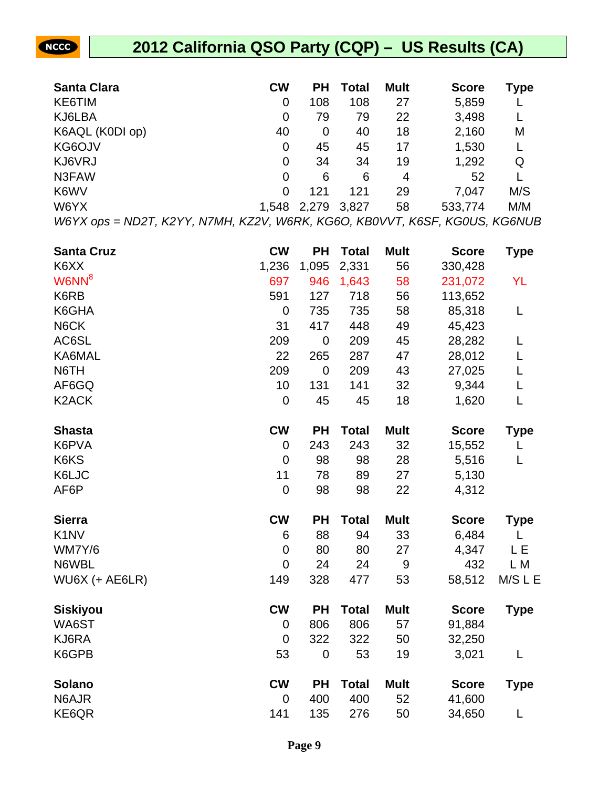### **2012 California QSO Party (CQP) – US Results (CA)**

| <b>Santa Clara</b> | <b>CW</b>   | <b>PH</b> | Total | <b>Mult</b> | <b>Score</b> | Type |
|--------------------|-------------|-----------|-------|-------------|--------------|------|
| KE6TIM             | 0           | 108       | 108   | 27          | 5,859        |      |
| KJ6LBA             | 0           | 79        | 79    | 22          | 3,498        |      |
| K6AQL (K0DI op)    | 40          | 0         | 40    | 18          | 2,160        | M    |
| KG6OJV             | 0           | 45        | 45    | 17          | 1,530        |      |
| KJ6VRJ             | $\mathbf 0$ | 34        | 34    | 19          | 1,292        | Q    |
| N3FAW              | 0           | 6         | 6     | 4           | 52           |      |
| K6WV               | 0           | 121       | 121   | 29          | 7,047        | M/S  |
| W6YX               | 1,548       | 2,279     | 3,827 | 58          | 533,774      | M/M  |

W6YX ops = ND2T, K2YY, N7MH, KZ2V, W6RK, KG6O, KB0VVT, K6SF, KG0US, KG6NUB

| <b>Santa Cruz</b>             | <b>CW</b>      | <b>PH</b>   | <b>Total</b> | <b>Mult</b> | <b>Score</b> | <b>Type</b> |
|-------------------------------|----------------|-------------|--------------|-------------|--------------|-------------|
| K6XX                          | 1,236          | 1,095       | 2,331        | 56          | 330,428      |             |
| W6NN <sup>8</sup>             | 697            | 946         | 1,643        | 58          | 231,072      | YL          |
| K6RB                          | 591            | 127         | 718          | 56          | 113,652      |             |
| K6GHA                         | $\mathbf 0$    | 735         | 735          | 58          | 85,318       | L           |
| N6CK                          | 31             | 417         | 448          | 49          | 45,423       |             |
| AC6SL                         | 209            | $\mathbf 0$ | 209          | 45          | 28,282       | L           |
| KA6MAL                        | 22             | 265         | 287          | 47          | 28,012       | L           |
| N6TH                          | 209            | $\mathbf 0$ | 209          | 43          | 27,025       | L           |
| AF6GQ                         | 10             | 131         | 141          | 32          | 9,344        | L           |
| K <sub>2</sub> ACK            | $\mathbf 0$    | 45          | 45           | 18          | 1,620        | L           |
| <b>Shasta</b>                 | <b>CW</b>      | <b>PH</b>   | <b>Total</b> | <b>Mult</b> | <b>Score</b> | <b>Type</b> |
| K6PVA                         | $\overline{0}$ | 243         | 243          | 32          | 15,552       | L           |
| K6KS                          | $\overline{0}$ | 98          | 98           | 28          | 5,516        | L           |
| K6LJC                         | 11             | 78          | 89           | 27          | 5,130        |             |
| AF6P                          | $\mathbf 0$    | 98          | 98           | 22          | 4,312        |             |
| <b>Sierra</b>                 | <b>CW</b>      | <b>PH</b>   | <b>Total</b> | <b>Mult</b> | <b>Score</b> | Type        |
| K <sub>1</sub> N <sub>V</sub> | 6              | 88          | 94           | 33          | 6,484        | L           |
| WM7Y/6                        | $\mathbf 0$    | 80          | 80           | 27          | 4,347        | L E         |
| N6WBL                         | $\mathbf 0$    | 24          | 24           | 9           | 432          | L M         |
| WU6X (+ AE6LR)                | 149            | 328         | 477          | 53          | 58,512       | M/S L E     |
| <b>Siskiyou</b>               | <b>CW</b>      | <b>PH</b>   | <b>Total</b> | <b>Mult</b> | <b>Score</b> | <b>Type</b> |
| WA6ST                         | $\overline{0}$ | 806         | 806          | 57          | 91,884       |             |
| KJ6RA                         | $\overline{0}$ | 322         | 322          | 50          | 32,250       |             |
| K6GPB                         | 53             | $\mathbf 0$ | 53           | 19          | 3,021        | L           |
| <b>Solano</b>                 | <b>CW</b>      | <b>PH</b>   | <b>Total</b> | <b>Mult</b> | <b>Score</b> | <b>Type</b> |
| N6AJR                         | $\mathbf 0$    | 400         | 400          | 52          | 41,600       |             |
| KE6QR                         | 141            | 135         | 276          | 50          | 34,650       | L           |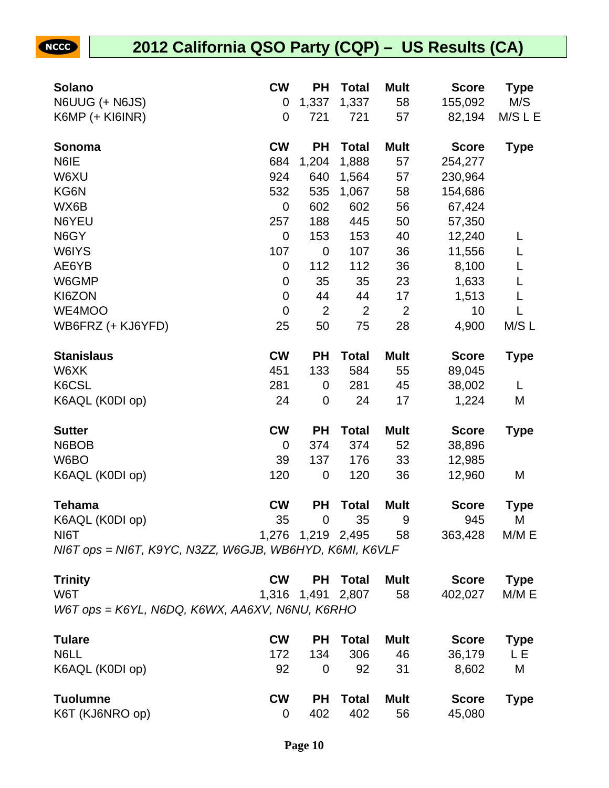NCCC

| <b>Solano</b>                                           | <b>CW</b>      | <b>PH</b>         | <b>Total</b>   | <b>Mult</b>    | <b>Score</b> | <b>Type</b> |
|---------------------------------------------------------|----------------|-------------------|----------------|----------------|--------------|-------------|
| N6UUG (+ N6JS)                                          | 0              | 1,337             | 1,337          | 58             | 155,092      | M/S         |
| K6MP (+ KI6INR)                                         | $\overline{0}$ | 721               | 721            | 57             | 82,194       | M/S L E     |
| Sonoma                                                  | <b>CW</b>      | <b>PH</b>         | <b>Total</b>   | <b>Mult</b>    | <b>Score</b> | <b>Type</b> |
| N6IE                                                    | 684            | 1,204             | 1,888          | 57             | 254,277      |             |
| W6XU                                                    | 924            | 640               | 1,564          | 57             | 230,964      |             |
| KG6N                                                    | 532            | 535               | 1,067          | 58             | 154,686      |             |
| WX6B                                                    | 0              | 602               | 602            | 56             | 67,424       |             |
| N6YEU                                                   | 257            | 188               | 445            | 50             | 57,350       |             |
| N6GY                                                    | 0              | 153               | 153            | 40             | 12,240       | L           |
| W6IYS                                                   | 107            | $\mathbf 0$       | 107            | 36             | 11,556       | L           |
| AE6YB                                                   | 0              | 112               | 112            | 36             | 8,100        | L           |
| W6GMP                                                   | $\mathbf 0$    | 35                | 35             | 23             | 1,633        | L           |
| KI6ZON                                                  | $\mathbf 0$    | 44                | 44             | 17             | 1,513        | L           |
| WE4MOO                                                  | $\mathbf 0$    | $\overline{2}$    | $\overline{2}$ | $\overline{2}$ | 10           | L           |
| WB6FRZ (+ KJ6YFD)                                       | 25             | 50                | 75             | 28             | 4,900        | M/S L       |
| <b>Stanislaus</b>                                       | <b>CW</b>      | <b>PH</b>         | <b>Total</b>   | <b>Mult</b>    | <b>Score</b> | <b>Type</b> |
| W6XK                                                    | 451            | 133               | 584            | 55             | 89,045       |             |
| K6CSL                                                   | 281            | 0                 | 281            | 45             | 38,002       | L           |
| K6AQL (K0DI op)                                         | 24             | $\mathbf 0$       | 24             | 17             | 1,224        | M           |
| <b>Sutter</b>                                           | <b>CW</b>      | <b>PH</b>         | <b>Total</b>   | <b>Mult</b>    | <b>Score</b> | <b>Type</b> |
| N6BOB                                                   | $\mathbf 0$    | 374               | 374            | 52             | 38,896       |             |
| W6BO                                                    | 39             | 137               | 176            | 33             | 12,985       |             |
| K6AQL (K0DI op)                                         | 120            | $\mathbf 0$       | 120            | 36             | 12,960       | M           |
| <b>Tehama</b>                                           | <b>CW</b>      | <b>PH</b>         | <b>Total</b>   | <b>Mult</b>    | <b>Score</b> | <b>Type</b> |
| K6AQL (K0DI op)                                         | 35             | $\mathbf 0$       | 35             | 9              | 945          | M           |
| NI6T                                                    |                | 1,276 1,219 2,495 |                | 58             | 363,428      | M/M E       |
| NI6T ops = NI6T, K9YC, N3ZZ, W6GJB, WB6HYD, K6MI, K6VLF |                |                   |                |                |              |             |
| <b>Trinity</b>                                          | <b>CW</b>      | <b>PH</b>         | <b>Total</b>   | <b>Mult</b>    | <b>Score</b> | <b>Type</b> |
| W6T                                                     | 1,316          | 1,491             | 2,807          | 58             | 402,027      | M/M E       |
| W6T ops = K6YL, N6DQ, K6WX, AA6XV, N6NU, K6RHO          |                |                   |                |                |              |             |
| <b>Tulare</b>                                           | <b>CW</b>      | <b>PH</b>         | <b>Total</b>   | <b>Mult</b>    | <b>Score</b> | <b>Type</b> |
| N6LL                                                    | 172            | 134               | 306            | 46             | 36,179       | L E         |
| K6AQL (K0DI op)                                         | 92             | 0                 | 92             | 31             | 8,602        | M           |
| <b>Tuolumne</b>                                         | <b>CW</b>      | <b>PH</b>         | <b>Total</b>   | <b>Mult</b>    | <b>Score</b> | <b>Type</b> |
| K6T (KJ6NRO op)                                         | 0              | 402               | 402            | 56             | 45,080       |             |